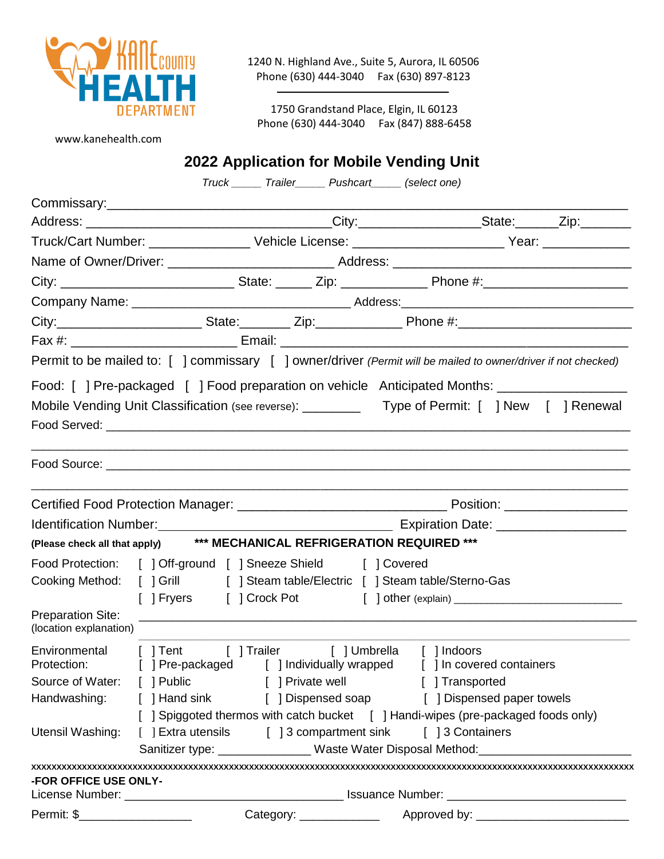

1240 N. Highland Ave., Suite 5, Aurora, IL 60506 Phone (630) 444-3040 Fax (630) 897-8123

1750 Grandstand Place, Elgin, IL 60123 Phone (630) 444-3040 Fax (847) 888-6458

www.kanehealth.com

# **2022 Application for Mobile Vending Unit**

*Truck \_\_\_\_\_ Trailer\_\_\_\_\_ Pushcart\_\_\_\_\_ (select one)*

|                                                    | City:__________________________State:__________Zip:_______________Phone #:__________________________                                           |                                                                                                                |                                                                               |  |  |  |  |
|----------------------------------------------------|------------------------------------------------------------------------------------------------------------------------------------------------|----------------------------------------------------------------------------------------------------------------|-------------------------------------------------------------------------------|--|--|--|--|
|                                                    |                                                                                                                                                |                                                                                                                |                                                                               |  |  |  |  |
|                                                    | Permit to be mailed to: [ ] commissary [ ] owner/driver (Permit will be mailed to owner/driver if not checked)                                 |                                                                                                                |                                                                               |  |  |  |  |
|                                                    | Food: [] Pre-packaged [] Food preparation on vehicle Anticipated Months: _______________                                                       |                                                                                                                |                                                                               |  |  |  |  |
|                                                    | Mobile Vending Unit Classification (see reverse): ___________ Type of Permit: [ ] New [ ] Renewal                                              |                                                                                                                |                                                                               |  |  |  |  |
|                                                    |                                                                                                                                                |                                                                                                                |                                                                               |  |  |  |  |
|                                                    |                                                                                                                                                |                                                                                                                |                                                                               |  |  |  |  |
|                                                    |                                                                                                                                                | Identification Number: Material Contract of Contract Contract Contract Contract Contract Contract Contract Con |                                                                               |  |  |  |  |
|                                                    | (Please check all that apply) *** MECHANICAL REFRIGERATION REQUIRED ***                                                                        |                                                                                                                |                                                                               |  |  |  |  |
|                                                    | Food Protection: [ ] Off-ground [ ] Sneeze Shield [ ] Covered                                                                                  |                                                                                                                |                                                                               |  |  |  |  |
|                                                    |                                                                                                                                                |                                                                                                                | Cooking Method: [ ] Grill [ ] Steam table/Electric [ ] Steam table/Sterno-Gas |  |  |  |  |
| <b>Preparation Site:</b><br>(location explanation) |                                                                                                                                                |                                                                                                                |                                                                               |  |  |  |  |
|                                                    | Environmental [ ] Tent [ ] Trailer [ ] Umbrella [ ] Indoors<br>Protection: [ ] Pre-packaged [ ] Individually wrapped [ ] In covered containers |                                                                                                                |                                                                               |  |  |  |  |
|                                                    | Source of Water: [ ] Public [ ] Private well [ ] Transported                                                                                   |                                                                                                                |                                                                               |  |  |  |  |
|                                                    | Handwashing: [ ] Hand sink [ ] Dispensed soap [ ] Dispensed paper towels                                                                       |                                                                                                                |                                                                               |  |  |  |  |
|                                                    | [ ] Spiggoted thermos with catch bucket [ ] Handi-wipes (pre-packaged foods only)                                                              |                                                                                                                |                                                                               |  |  |  |  |
| Utensil Washing:                                   | [ ] Extra utensils [ ] 3 compartment sink [ ] 3 Containers<br>Sanitizer type: ________________Waste Water Disposal Method:____________________ |                                                                                                                |                                                                               |  |  |  |  |
|                                                    |                                                                                                                                                |                                                                                                                |                                                                               |  |  |  |  |
| <b>-FOR OFFICE USE ONLY-</b>                       |                                                                                                                                                |                                                                                                                |                                                                               |  |  |  |  |
|                                                    |                                                                                                                                                |                                                                                                                |                                                                               |  |  |  |  |
| Permit: \$______________________                   |                                                                                                                                                |                                                                                                                |                                                                               |  |  |  |  |